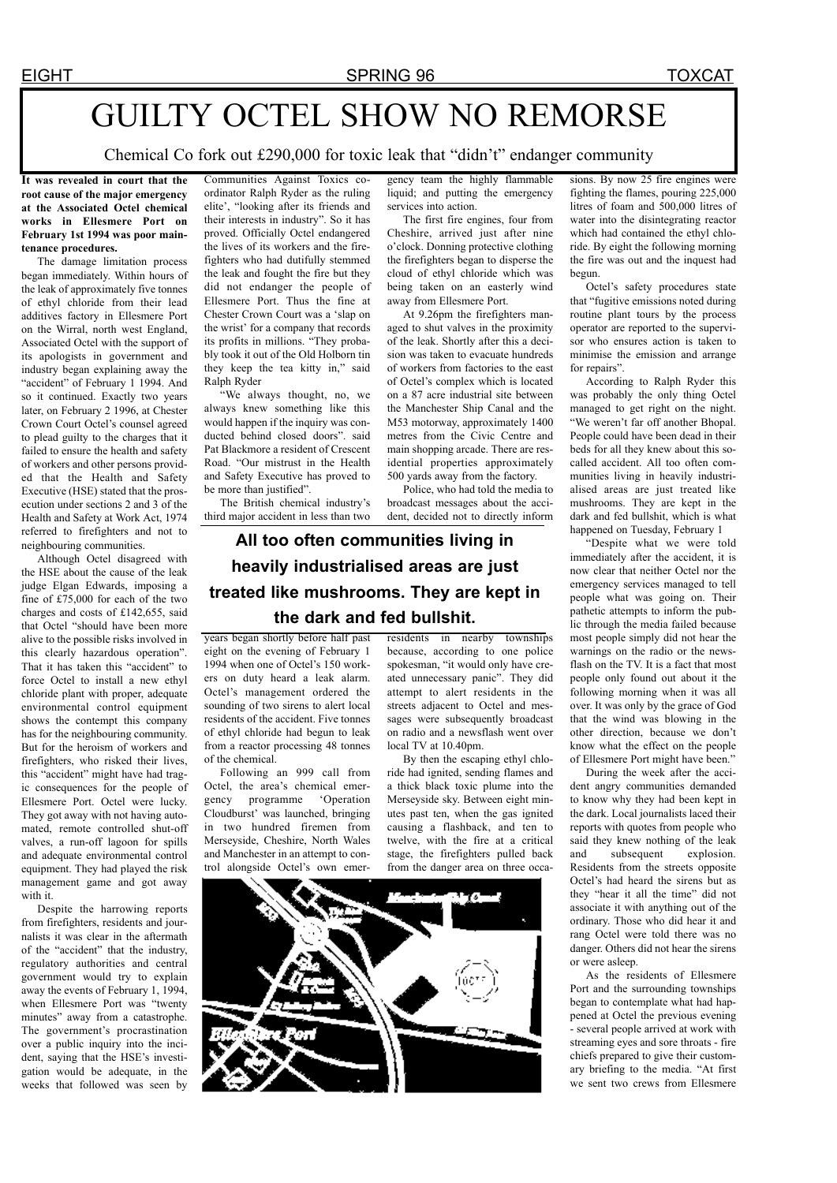## GUILTY OCTEL SHOW NO REMORSE

Chemical Co fork out £290,000 for toxic leak that "didn't" endanger community

**It was revealed in court that the root cause of the major emergency at the Associated Octel chemical works in Ellesmere Port on February 1st 1994 was poor maintenance procedures.**

The damage limitation process began immediately. Within hours of the leak of approximately five tonnes of ethyl chloride from their lead additives factory in Ellesmere Port on the Wirral, north west England, Associated Octel with the support of its apologists in government and industry began explaining away the "accident" of February 1 1994. And so it continued. Exactly two years later, on February 2 1996, at Chester Crown Court Octel's counsel agreed to plead guilty to the charges that it failed to ensure the health and safety of workers and other persons provided that the Health and Safety Executive (HSE) stated that the prosecution under sections 2 and 3 of the Health and Safety at Work Act, 1974 referred to firefighters and not to neighbouring communities.

Although Octel disagreed with the HSE about the cause of the leak judge Elgan Edwards, imposing a fine of £75,000 for each of the two charges and costs of £142,655, said that Octel "should have been more alive to the possible risks involved in this clearly hazardous operation". That it has taken this "accident" to force Octel to install a new ethyl chloride plant with proper, adequate environmental control equipment shows the contempt this company has for the neighbouring community. But for the heroism of workers and firefighters, who risked their lives, this "accident" might have had tragic consequences for the people of Ellesmere Port. Octel were lucky. They got away with not having automated, remote controlled shut-off valves, a run-off lagoon for spills and adequate environmental control equipment. They had played the risk management game and got away with it.

Despite the harrowing reports from firefighters, residents and journalists it was clear in the aftermath of the "accident" that the industry, regulatory authorities and central government would try to explain away the events of February 1, 1994, when Ellesmere Port was "twenty" minutes" away from a catastrophe. The government's procrastination over a public inquiry into the incident, saying that the HSE's investigation would be adequate, in the weeks that followed was seen by

Communities Against Toxics coordinator Ralph Ryder as the ruling elite', "looking after its friends and their interests in industry". So it has proved. Officially Octel endangered the lives of its workers and the firefighters who had dutifully stemmed the leak and fought the fire but they did not endanger the people of Ellesmere Port. Thus the fine at Chester Crown Court was a 'slap on the wrist' for a company that records its profits in millions. "They probably took it out of the Old Holborn tin they keep the tea kitty in," said Ralph Ryder

"We always thought, no, we always knew something like this would happen if the inquiry was conducted behind closed doors". said Pat Blackmore a resident of Crescent Road. "Our mistrust in the Health and Safety Executive has proved to be more than justified".

The British chemical industry's third major accident in less than two gency team the highly flammable liquid; and putting the emergency services into action.

The first fire engines, four from Cheshire, arrived just after nine o'clock. Donning protective clothing the firefighters began to disperse the cloud of ethyl chloride which was being taken on an easterly wind away from Ellesmere Port.

At 9.26pm the firefighters managed to shut valves in the proximity of the leak. Shortly after this a decision was taken to evacuate hundreds of workers from factories to the east of Octel's complex which is located on a 87 acre industrial site between the Manchester Ship Canal and the M53 motorway, approximately 1400 metres from the Civic Centre and main shopping arcade. There are residential properties approximately 500 yards away from the factory.

Police, who had told the media to broadcast messages about the accident, decided not to directly inform

## **All too often communities living in heavily industrialised areas are just treated like mushrooms. They are kept in the dark and fed bullshit.**

years began shortly before half past eight on the evening of February 1 1994 when one of Octel's 150 workers on duty heard a leak alarm. Octel's management ordered the sounding of two sirens to alert local residents of the accident. Five tonnes of ethyl chloride had begun to leak from a reactor processing 48 tonnes of the chemical.

Following an 999 call from Octel, the area's chemical emergency programme 'Operation Cloudburst' was launched, bringing in two hundred firemen from Merseyside, Cheshire, North Wales and Manchester in an attempt to control alongside Octel's own emer-

residents in nearby townships because, according to one police spokesman, "it would only have created unnecessary panic". They did attempt to alert residents in the streets adjacent to Octel and messages were subsequently broadcast on radio and a newsflash went over local TV at 10.40pm.

By then the escaping ethyl chloride had ignited, sending flames and a thick black toxic plume into the Merseyside sky. Between eight minutes past ten, when the gas ignited causing a flashback, and ten to twelve, with the fire at a critical stage, the firefighters pulled back from the danger area on three occa-



sions. By now 25 fire engines were fighting the flames, pouring 225,000 litres of foam and 500,000 litres of water into the disintegrating reactor which had contained the ethyl chloride. By eight the following morning the fire was out and the inquest had begun.

Octel's safety procedures state that "fugitive emissions noted during routine plant tours by the process operator are reported to the supervisor who ensures action is taken to minimise the emission and arrange for repairs".

According to Ralph Ryder this was probably the only thing Octel managed to get right on the night. "We weren't far off another Bhopal. People could have been dead in their beds for all they knew about this socalled accident. All too often communities living in heavily industrialised areas are just treated like mushrooms. They are kept in the dark and fed bullshit, which is what happened on Tuesday, February 1

"Despite what we were told immediately after the accident, it is now clear that neither Octel nor the emergency services managed to tell people what was going on. Their pathetic attempts to inform the public through the media failed because most people simply did not hear the warnings on the radio or the newsflash on the TV. It is a fact that most people only found out about it the following morning when it was all over. It was only by the grace of God that the wind was blowing in the other direction, because we don't know what the effect on the people of Ellesmere Port might have been."

During the week after the accident angry communities demanded to know why they had been kept in the dark. Local journalists laced their reports with quotes from people who said they knew nothing of the leak and subsequent explosion. Residents from the streets opposite Octel's had heard the sirens but as they "hear it all the time" did not associate it with anything out of the ordinary. Those who did hear it and rang Octel were told there was no danger. Others did not hear the sirens or were asleep.

As the residents of Ellesmere Port and the surrounding townships began to contemplate what had happened at Octel the previous evening - several people arrived at work with streaming eyes and sore throats - fire chiefs prepared to give their customary briefing to the media. "At first we sent two crews from Ellesmere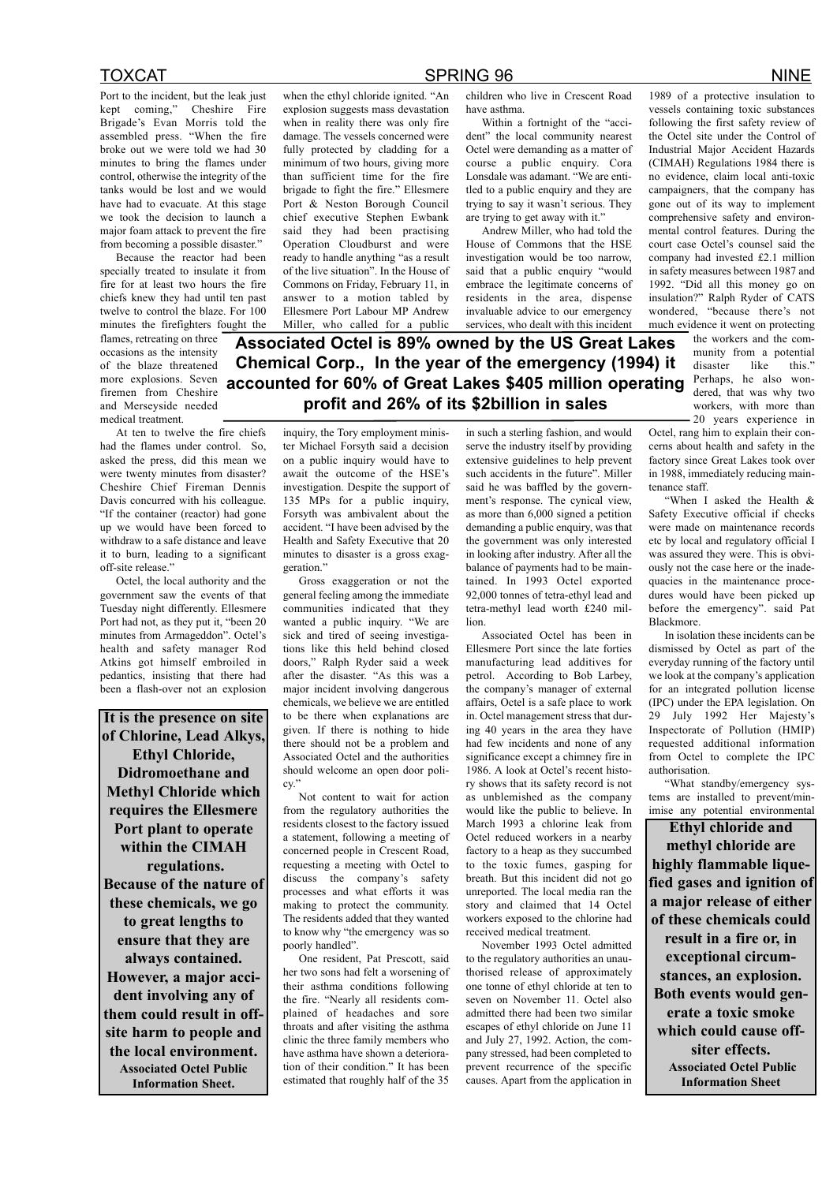Port to the incident, but the leak just kept coming," Cheshire Fire Brigade's Evan Morris told the assembled press. "When the fire broke out we were told we had 30 minutes to bring the flames under control, otherwise the integrity of the tanks would be lost and we would have had to evacuate. At this stage we took the decision to launch a major foam attack to prevent the fire from becoming a possible disaster."

Because the reactor had been specially treated to insulate it from fire for at least two hours the fire chiefs knew they had until ten past twelve to control the blaze. For 100 minutes the firefighters fought the

flames, retreating on three occasions as the intensity of the blaze threatened more explosions. Seven firemen from Cheshire and Merseyside needed medical treatment.

At ten to twelve the fire chiefs had the flames under control. So, asked the press, did this mean we were twenty minutes from disaster? Cheshire Chief Fireman Dennis Davis concurred with his colleague. "If the container (reactor) had gone up we would have been forced to withdraw to a safe distance and leave it to burn, leading to a significant off-site release."

Octel, the local authority and the government saw the events of that Tuesday night differently. Ellesmere Port had not, as they put it, "been 20 minutes from Armageddon". Octel's health and safety manager Rod Atkins got himself embroiled in pedantics, insisting that there had been a flash-over not an explosion

**It is the presence on site of Chlorine, Lead Alkys, Ethyl Chloride, Didromoethane and Methyl Chloride which requires the Ellesmere Port plant to operate within the CIMAH regulations. Because of the nature of these chemicals, we go to great lengths to ensure that they are always contained. However, a major accident involving any of them could result in offsite harm to people and the local environment. Associated Octel Public Information Sheet.**

when the ethyl chloride ignited. "An explosion suggests mass devastation when in reality there was only fire damage. The vessels concerned were fully protected by cladding for a minimum of two hours, giving more than sufficient time for the fire brigade to fight the fire." Ellesmere Port & Neston Borough Council chief executive Stephen Ewbank said they had been practising Operation Cloudburst and were ready to handle anything "as a result of the live situation". In the House of Commons on Friday, February 11, in answer to a motion tabled by Ellesmere Port Labour MP Andrew Miller, who called for a public

TOXCAT SPRING 96 NINE

children who live in Crescent Road have asthma.

Within a fortnight of the "accident" the local community nearest Octel were demanding as a matter of course a public enquiry. Cora Lonsdale was adamant. "We are entitled to a public enquiry and they are trying to say it wasn't serious. They are trying to get away with it."

Andrew Miller, who had told the House of Commons that the HSE investigation would be too narrow, said that a public enquiry "would embrace the legitimate concerns of residents in the area, dispense invaluable advice to our emergency services, who dealt with this incident

**Associated Octel is 89% owned by the US Great Lakes Chemical Corp., In the year of the emergency (1994) it accounted for 60% of Great Lakes \$405 million operating profit and 26% of its \$2billion in sales**

> inquiry, the Tory employment minister Michael Forsyth said a decision on a public inquiry would have to await the outcome of the HSE's investigation. Despite the support of 135 MPs for a public inquiry, Forsyth was ambivalent about the accident. "I have been advised by the Health and Safety Executive that 20 minutes to disaster is a gross exaggeration."

> Gross exaggeration or not the general feeling among the immediate communities indicated that they wanted a public inquiry. "We are sick and tired of seeing investigations like this held behind closed doors," Ralph Ryder said a week after the disaster. "As this was a major incident involving dangerous chemicals, we believe we are entitled to be there when explanations are given. If there is nothing to hide there should not be a problem and Associated Octel and the authorities should welcome an open door policy.

> Not content to wait for action from the regulatory authorities the residents closest to the factory issued a statement, following a meeting of concerned people in Crescent Road, requesting a meeting with Octel to discuss the company's safety processes and what efforts it was making to protect the community. The residents added that they wanted to know why "the emergency was so poorly handled".

One resident, Pat Prescott, said her two sons had felt a worsening of their asthma conditions following the fire. "Nearly all residents complained of headaches and sore throats and after visiting the asthma clinic the three family members who have asthma have shown a deterioration of their condition." It has been estimated that roughly half of the 35

in such a sterling fashion, and would serve the industry itself by providing extensive guidelines to help prevent such accidents in the future". Miller said he was baffled by the government's response. The cynical view, as more than 6,000 signed a petition demanding a public enquiry, was that the government was only interested in looking after industry. After all the balance of payments had to be maintained. In 1993 Octel exported 92,000 tonnes of tetra-ethyl lead and tetra-methyl lead worth £240 million.

Associated Octel has been in Ellesmere Port since the late forties manufacturing lead additives for petrol. According to Bob Larbey, the company's manager of external affairs, Octel is a safe place to work in. Octel management stress that during 40 years in the area they have had few incidents and none of any significance except a chimney fire in 1986. A look at Octel's recent history shows that its safety record is not as unblemished as the company would like the public to believe. In March 1993 a chlorine leak from Octel reduced workers in a nearby factory to a heap as they succumbed to the toxic fumes, gasping for breath. But this incident did not go unreported. The local media ran the story and claimed that 14 Octel workers exposed to the chlorine had received medical treatment.

November 1993 Octel admitted to the regulatory authorities an unauthorised release of approximately one tonne of ethyl chloride at ten to seven on November 11. Octel also admitted there had been two similar escapes of ethyl chloride on June 11 and July 27, 1992. Action, the company stressed, had been completed to prevent recurrence of the specific causes. Apart from the application in 1989 of a protective insulation to vessels containing toxic substances following the first safety review of the Octel site under the Control of Industrial Major Accident Hazards (CIMAH) Regulations 1984 there is no evidence, claim local anti-toxic campaigners, that the company has gone out of its way to implement comprehensive safety and environmental control features. During the court case Octel's counsel said the company had invested £2.1 million in safety measures between 1987 and 1992. "Did all this money go on insulation?" Ralph Ryder of CATS wondered, "because there's not much evidence it went on protecting

> the workers and the community from a potential disaster like this." Perhaps, he also wondered, that was why two workers, with more than 20 years experience in

Octel, rang him to explain their concerns about health and safety in the factory since Great Lakes took over in 1988, immediately reducing maintenance staff.

"When I asked the Health & Safety Executive official if checks were made on maintenance records etc by local and regulatory official I was assured they were. This is obviously not the case here or the inadequacies in the maintenance procedures would have been picked up before the emergency". said Pat Blackmore.

In isolation these incidents can be dismissed by Octel as part of the everyday running of the factory until we look at the company's application for an integrated pollution license (IPC) under the EPA legislation. On 29 July 1992 Her Majesty's Inspectorate of Pollution (HMIP) requested additional information from Octel to complete the IPC authorisation.

"What standby/emergency systems are installed to prevent/minimise any potential environmental

**Ethyl chloride and methyl chloride are highly flammable liquefied gases and ignition of a major release of either of these chemicals could result in a fire or, in exceptional circumstances, an explosion. Both events would generate a toxic smoke which could cause offsiter effects. Associated Octel Public Information Sheet**